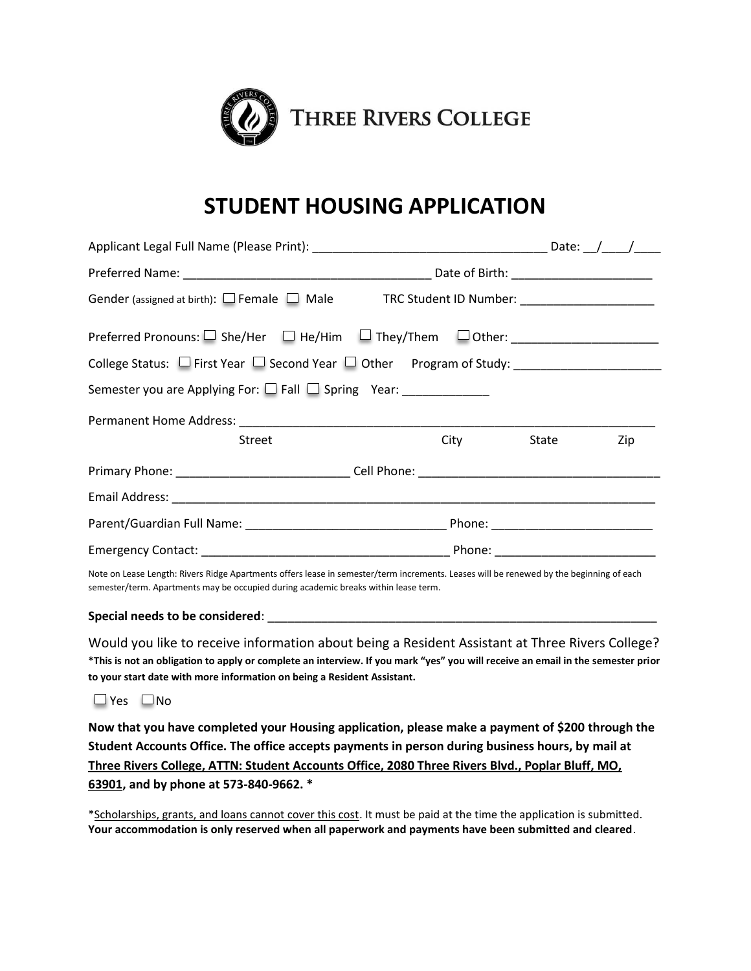

## **STUDENT HOUSING APPLICATION**

|                                                                                  | Date: $/$ /    |  |  |  |
|----------------------------------------------------------------------------------|----------------|--|--|--|
|                                                                                  |                |  |  |  |
| Gender (assigned at birth): Female Male TRC Student ID Number: _________________ |                |  |  |  |
| Preferred Pronouns: □ She/Her □ He/Him □ They/Them □ Other: ____________________ |                |  |  |  |
|                                                                                  |                |  |  |  |
| Semester you are Applying For: □ Fall □ Spring Year: ___________                 |                |  |  |  |
|                                                                                  |                |  |  |  |
| Street                                                                           | City State Zip |  |  |  |
|                                                                                  |                |  |  |  |
|                                                                                  |                |  |  |  |
|                                                                                  |                |  |  |  |
|                                                                                  |                |  |  |  |

Note on Lease Length: Rivers Ridge Apartments offers lease in semester/term increments. Leases will be renewed by the beginning of each semester/term. Apartments may be occupied during academic breaks within lease term.

## Special needs to be considered:

Would you like to receive information about being a Resident Assistant at Three Rivers College? **\*This is not an obligation to apply or complete an interview. If you mark "yes" you will receive an email in the semester prior to your start date with more information on being a Resident Assistant.**

 $\Box$  Yes  $\Box$  No

**Now that you have completed your Housing application, please make a payment of \$200 through the Student Accounts Office. The office accepts payments in person during business hours, by mail at Three Rivers College, ATTN: Student Accounts Office, 2080 Three Rivers Blvd., Poplar Bluff, MO, 63901, and by phone at 573-840-9662. \***

\*Scholarships, grants, and loans cannot cover this cost. It must be paid at the time the application is submitted. **Your accommodation is only reserved when all paperwork and payments have been submitted and cleared**.